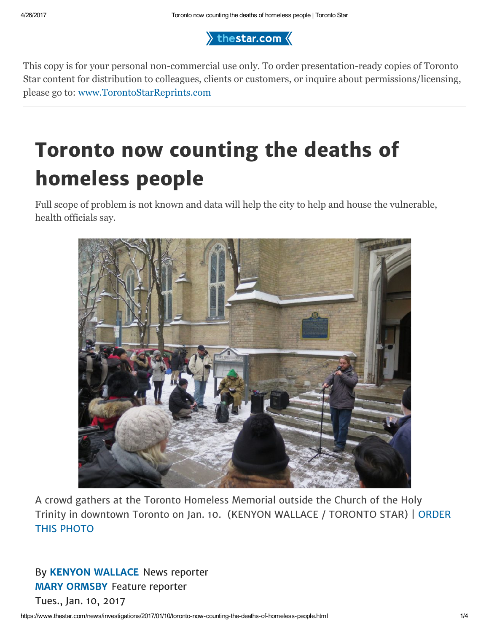$\rangle$  thestar.com  $\langle$ 

This copy is for your personal non-commercial use only. To order presentation-ready copies of Toronto Star content for distribution to colleagues, clients or customers, or inquire about permissions/licensing, please go to: [www.TorontoStarReprints.com](http://www.torontostarreprints.com/)

## Toronto now counting the deaths of homeless people

Full scope of problem is not known and data will help the city to help and house the vulnerable, health officials say.



A crowd gathers at the Toronto Homeless Memorial outside the Church of the Holy Trinity in downtown Toronto on Jan. 10. (KENYON WALLACE / TORONTO STAR) | ORDER THIS PHOTO

By KENYON [WALLACE](https://www.thestar.com/authors.wallace_kenyon.html) News reporter MARY [ORMSBY](https://www.thestar.com/authors.ormsby_mary.html) Feature reporter

Tues., Jan. 10, 2017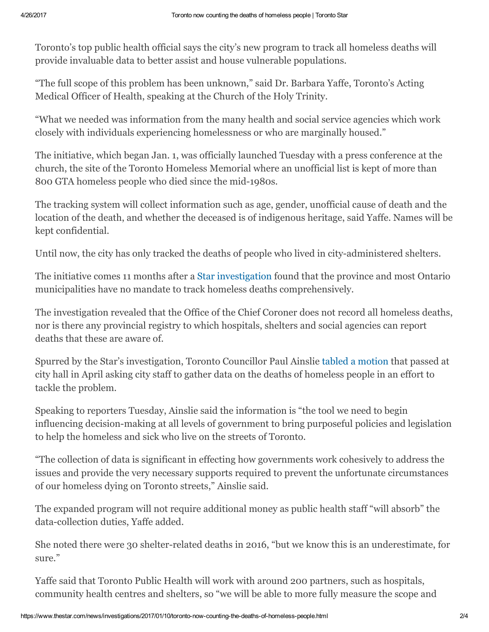Toronto's top public health official says the city's new program to track all homeless deaths will provide invaluable data to better assist and house vulnerable populations.

"The full scope of this problem has been unknown," said Dr. Barbara Yaffe, Toronto's Acting Medical Officer of Health, speaking at the Church of the Holy Trinity.

"What we needed was information from the many health and social service agencies which work closely with individuals experiencing homelessness or who are marginally housed."

The initiative, which began Jan. 1, was officially launched Tuesday with a press conference at the church, the site of the Toronto Homeless Memorial where an unofficial list is kept of more than 800 GTA homeless people who died since the mid-1980s.

The tracking system will collect information such as age, gender, unofficial cause of death and the location of the death, and whether the deceased is of indigenous heritage, said Yaffe. Names will be kept confidential.

Until now, the city has only tracked the deaths of people who lived in city-administered shelters.

The initiative comes 11 months after a Star [investigation](https://www.thestar.com/news/insight/2016/02/21/ontarios-uncounted-homeless-dead.html) found that the province and most Ontario municipalities have no mandate to track homeless deaths comprehensively.

The investigation revealed that the Office of the Chief Coroner does not record all homeless deaths, nor is there any provincial registry to which hospitals, shelters and social agencies can report deaths that these are aware of.

Spurred by the Star's investigation, Toronto Councillor Paul Ainslie tabled a [motion](https://www.thestar.com/news/city_hall/2016/04/01/city-council-votes-to-track-homeless-deaths-following-star-investigation.html) that passed at city hall in April asking city staff to gather data on the deaths of homeless people in an effort to tackle the problem.

Speaking to reporters Tuesday, Ainslie said the information is "the tool we need to begin influencing decision-making at all levels of government to bring purposeful policies and legislation to help the homeless and sick who live on the streets of Toronto.

"The collection of data is significant in effecting how governments work cohesively to address the issues and provide the very necessary supports required to prevent the unfortunate circumstances of our homeless dying on Toronto streets," Ainslie said.

The expanded program will not require additional money as public health staff "will absorb" the data-collection duties, Yaffe added.

She noted there were 30 shelter-related deaths in 2016, "but we know this is an underestimate, for sure."

Yaffe said that Toronto Public Health will work with around 200 partners, such as hospitals, community health centres and shelters, so "we will be able to more fully measure the scope and